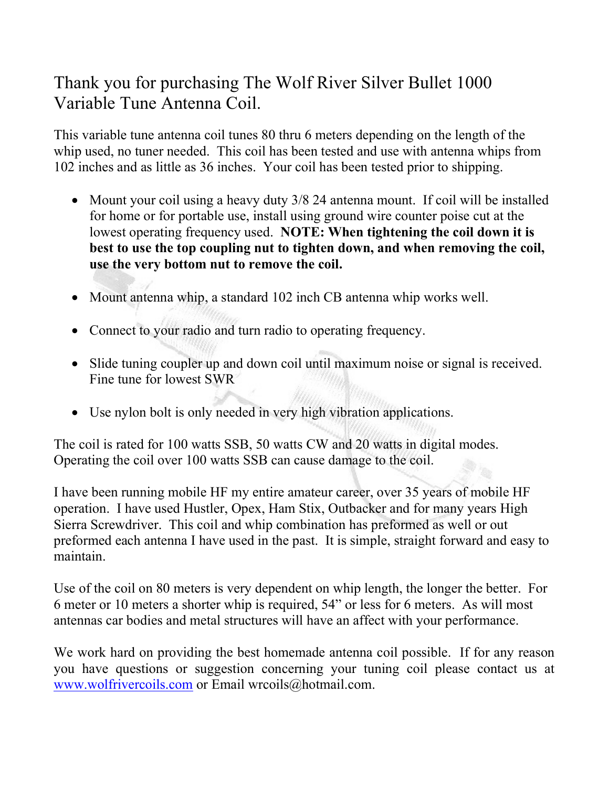## Thank you for purchasing The Wolf River Silver Bullet 1000 Variable Tune Antenna Coil.

This variable tune antenna coil tunes 80 thru 6 meters depending on the length of the whip used, no tuner needed. This coil has been tested and use with antenna whips from 102 inches and as little as 36 inches. Your coil has been tested prior to shipping.

- Mount your coil using a heavy duty 3/8 24 antenna mount. If coil will be installed for home or for portable use, install using ground wire counter poise cut at the lowest operating frequency used. NOTE: When tightening the coil down it is best to use the top coupling nut to tighten down, and when removing the coil, use the very bottom nut to remove the coil.
- Mount antenna whip, a standard 102 inch CB antenna whip works well.
- Connect to your radio and turn radio to operating frequency.
- Slide tuning coupler up and down coil until maximum noise or signal is received. Fine tune for lowest SWR
- Use nylon bolt is only needed in very high vibration applications.

The coil is rated for 100 watts SSB, 50 watts CW and 20 watts in digital modes. Operating the coil over 100 watts SSB can cause damage to the coil.

I have been running mobile HF my entire amateur career, over 35 years of mobile HF operation. I have used Hustler, Opex, Ham Stix, Outbacker and for many years High Sierra Screwdriver. This coil and whip combination has preformed as well or out preformed each antenna I have used in the past. It is simple, straight forward and easy to maintain.

Use of the coil on 80 meters is very dependent on whip length, the longer the better. For 6 meter or 10 meters a shorter whip is required, 54" or less for 6 meters. As will most antennas car bodies and metal structures will have an affect with your performance.

We work hard on providing the best homemade antenna coil possible. If for any reason you have questions or suggestion concerning your tuning coil please contact us at www.wolfrivercoils.com or Email wrcoils@hotmail.com.